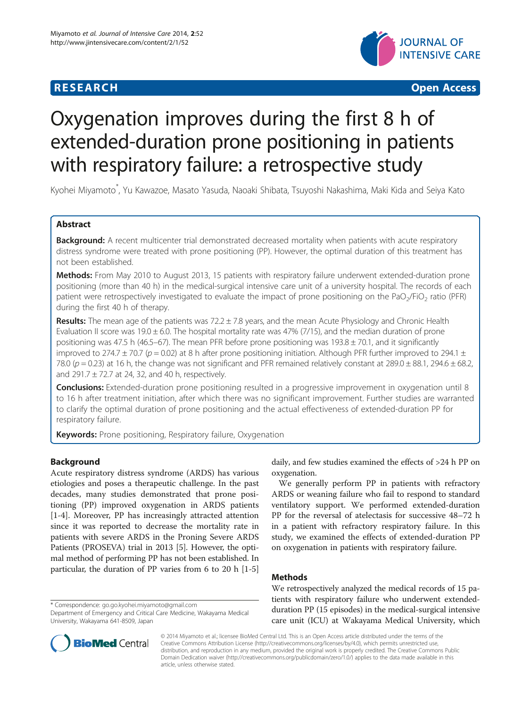## **RESEARCH CHINESE ARCH CHINESE ARCH CHINESE ARCH <b>CHINESE ARCH**



# Oxygenation improves during the first 8 h of extended-duration prone positioning in patients with respiratory failure: a retrospective study

Kyohei Miyamoto\* , Yu Kawazoe, Masato Yasuda, Naoaki Shibata, Tsuyoshi Nakashima, Maki Kida and Seiya Kato

## Abstract

Background: A recent multicenter trial demonstrated decreased mortality when patients with acute respiratory distress syndrome were treated with prone positioning (PP). However, the optimal duration of this treatment has not been established.

Methods: From May 2010 to August 2013, 15 patients with respiratory failure underwent extended-duration prone positioning (more than 40 h) in the medical-surgical intensive care unit of a university hospital. The records of each patient were retrospectively investigated to evaluate the impact of prone positioning on the PaO<sub>2</sub>/FiO<sub>2</sub> ratio (PFR) during the first 40 h of therapy.

Results: The mean age of the patients was 72.2 ± 7.8 years, and the mean Acute Physiology and Chronic Health Evaluation II score was 19.0  $\pm$  6.0. The hospital mortality rate was 47% (7/15), and the median duration of prone positioning was 47.5 h (46.5–67). The mean PFR before prone positioning was  $193.8 \pm 70.1$ , and it significantly improved to 274.7  $\pm$  70.7 (p = 0.02) at 8 h after prone positioning initiation. Although PFR further improved to 294.1  $\pm$ 78.0 ( $p = 0.23$ ) at 16 h, the change was not significant and PFR remained relatively constant at 289.0 ± 88.1, 294.6 ± 68.2, and 291.7  $\pm$  72.7 at 24, 32, and 40 h, respectively.

**Conclusions:** Extended-duration prone positioning resulted in a progressive improvement in oxygenation until 8 to 16 h after treatment initiation, after which there was no significant improvement. Further studies are warranted to clarify the optimal duration of prone positioning and the actual effectiveness of extended-duration PP for respiratory failure.

Keywords: Prone positioning, Respiratory failure, Oxygenation

## Background

Acute respiratory distress syndrome (ARDS) has various etiologies and poses a therapeutic challenge. In the past decades, many studies demonstrated that prone positioning (PP) improved oxygenation in ARDS patients [[1-4](#page-4-0)]. Moreover, PP has increasingly attracted attention since it was reported to decrease the mortality rate in patients with severe ARDS in the Proning Severe ARDS Patients (PROSEVA) trial in 2013 [[5\]](#page-4-0). However, the optimal method of performing PP has not been established. In particular, the duration of PP varies from 6 to 20 h [\[1](#page-4-0)-[5](#page-4-0)]

\* Correspondence: [go.go.kyohei.miyamoto@gmail.com](mailto:go.go.kyohei.miyamoto@gmail.com)

daily, and few studies examined the effects of >24 h PP on oxygenation.

We generally perform PP in patients with refractory ARDS or weaning failure who fail to respond to standard ventilatory support. We performed extended-duration PP for the reversal of atelectasis for successive 48–72 h in a patient with refractory respiratory failure. In this study, we examined the effects of extended-duration PP on oxygenation in patients with respiratory failure.

## Methods

We retrospectively analyzed the medical records of 15 patients with respiratory failure who underwent extendedduration PP (15 episodes) in the medical-surgical intensive care unit (ICU) at Wakayama Medical University, which



© 2014 Miyamoto et al.; licensee BioMed Central Ltd. This is an Open Access article distributed under the terms of the Creative Commons Attribution License (<http://creativecommons.org/licenses/by/4.0>), which permits unrestricted use, distribution, and reproduction in any medium, provided the original work is properly credited. The Creative Commons Public Domain Dedication waiver [\(http://creativecommons.org/publicdomain/zero/1.0/\)](http://creativecommons.org/publicdomain/zero/1.0/) applies to the data made available in this article, unless otherwise stated.

Department of Emergency and Critical Care Medicine, Wakayama Medical University, Wakayama 641-8509, Japan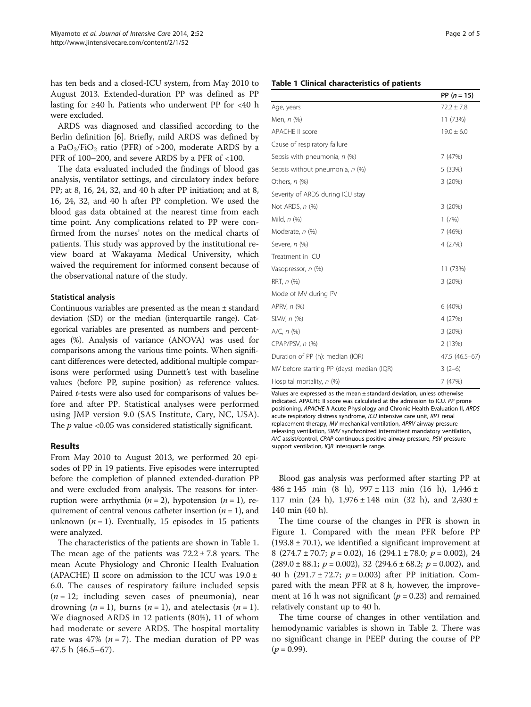has ten beds and a closed-ICU system, from May 2010 to August 2013. Extended-duration PP was defined as PP lasting for ≥40 h. Patients who underwent PP for <40 h were excluded.

ARDS was diagnosed and classified according to the Berlin definition [\[6\]](#page-4-0). Briefly, mild ARDS was defined by a PaO<sub>2</sub>/FiO<sub>2</sub> ratio (PFR) of >200, moderate ARDS by a PFR of 100–200, and severe ARDS by a PFR of <100.

The data evaluated included the findings of blood gas analysis, ventilator settings, and circulatory index before PP; at 8, 16, 24, 32, and 40 h after PP initiation; and at 8, 16, 24, 32, and 40 h after PP completion. We used the blood gas data obtained at the nearest time from each time point. Any complications related to PP were confirmed from the nurses' notes on the medical charts of patients. This study was approved by the institutional review board at Wakayama Medical University, which waived the requirement for informed consent because of the observational nature of the study.

## Statistical analysis

Continuous variables are presented as the mean ± standard deviation (SD) or the median (interquartile range). Categorical variables are presented as numbers and percentages (%). Analysis of variance (ANOVA) was used for comparisons among the various time points. When significant differences were detected, additional multiple comparisons were performed using Dunnett's test with baseline values (before PP, supine position) as reference values. Paired t-tests were also used for comparisons of values before and after PP. Statistical analyses were performed using JMP version 9.0 (SAS Institute, Cary, NC, USA). The  $p$  value <0.05 was considered statistically significant.

### Results

From May 2010 to August 2013, we performed 20 episodes of PP in 19 patients. Five episodes were interrupted before the completion of planned extended-duration PP and were excluded from analysis. The reasons for interruption were arrhythmia ( $n = 2$ ), hypotension ( $n = 1$ ), requirement of central venous catheter insertion ( $n = 1$ ), and unknown ( $n = 1$ ). Eventually, 15 episodes in 15 patients were analyzed.

The characteristics of the patients are shown in Table 1. The mean age of the patients was  $72.2 \pm 7.8$  years. The mean Acute Physiology and Chronic Health Evaluation (APACHE) II score on admission to the ICU was  $19.0 \pm$ 6.0. The causes of respiratory failure included sepsis  $(n = 12;$  including seven cases of pneumonia), near drowning  $(n = 1)$ , burns  $(n = 1)$ , and atelectasis  $(n = 1)$ . We diagnosed ARDS in 12 patients (80%), 11 of whom had moderate or severe ARDS. The hospital mortality rate was 47% ( $n = 7$ ). The median duration of PP was 47.5 h (46.5–67).

#### Table 1 Clinical characteristics of patients

|                                            | PP $(n = 15)$  |
|--------------------------------------------|----------------|
| Age, years                                 | $72.2 \pm 7.8$ |
| Men, n (%)                                 | 11 (73%)       |
| <b>APACHE II score</b>                     | $19.0 \pm 6.0$ |
| Cause of respiratory failure               |                |
| Sepsis with pneumonia, n (%)               | 7(47%)         |
| Sepsis without pneumonia, n (%)            | 5 (33%)        |
| Others, n (%)                              | 3(20%)         |
| Severity of ARDS during ICU stay           |                |
| Not ARDS, n (%)                            | 3(20%)         |
| Mild, n (%)                                | 1(7%)          |
| Moderate, n (%)                            | 7(46%)         |
| Severe, n (%)                              | 4 (27%)        |
| Treatment in ICU                           |                |
| Vasopressor, n (%)                         | 11 (73%)       |
| RRT, n (%)                                 | 3(20%)         |
| Mode of MV during PV                       |                |
| APRV, n (%)                                | 6(40%)         |
| SIMV, n (%)                                | 4 (27%)        |
| $A/C, n$ (%)                               | 3(20%)         |
| CPAP/PSV, n (%)                            | 2 (13%)        |
| Duration of PP (h): median (IQR)           | 47.5 (46.5-67) |
| MV before starting PP (days): median (IQR) | $3(2-6)$       |
| Hospital mortality, $n$ (%)                | 7 (47%)        |

Values are expressed as the mean  $\pm$  standard deviation, unless otherwise indicated. APACHE II score was calculated at the admission to ICU. PP prone positioning, APACHE II Acute Physiology and Chronic Health Evaluation II, ARDS acute respiratory distress syndrome, ICU intensive care unit, RRT renal replacement therapy, MV mechanical ventilation, APRV airway pressure releasing ventilation, SIMV synchronized intermittent mandatory ventilation, A/C assist/control, CPAP continuous positive airway pressure, PSV pressure support ventilation, IQR interquartile range.

Blood gas analysis was performed after starting PP at  $486 \pm 145$  min  $(8 \text{ h})$ ,  $997 \pm 113$  min  $(16 \text{ h})$ ,  $1,446 \pm 113$ 117 min (24 h),  $1,976 \pm 148$  min (32 h), and 2,430 ± 140 min (40 h).

The time course of the changes in PFR is shown in Figure [1.](#page-2-0) Compared with the mean PFR before PP  $(193.8 \pm 70.1)$ , we identified a significant improvement at 8 (274.7 ± 70.7;  $p = 0.02$ ), 16 (294.1 ± 78.0;  $p = 0.002$ ), 24  $(289.0 \pm 88.1; p = 0.002)$ , 32  $(294.6 \pm 68.2; p = 0.002)$ , and 40 h (291.7 ± 72.7;  $p = 0.003$ ) after PP initiation. Compared with the mean PFR at 8 h, however, the improvement at 16 h was not significant ( $p = 0.23$ ) and remained relatively constant up to 40 h.

The time course of changes in other ventilation and hemodynamic variables is shown in Table [2](#page-2-0). There was no significant change in PEEP during the course of PP  $(p = 0.99)$ .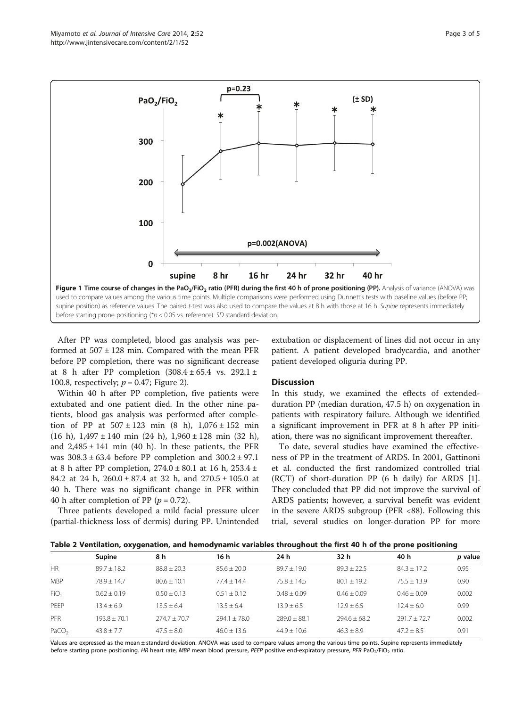<span id="page-2-0"></span>

After PP was completed, blood gas analysis was performed at  $507 \pm 128$  min. Compared with the mean PFR before PP completion, there was no significant decrease at 8 h after PP completion  $(308.4 \pm 65.4 \text{ vs. } 292.1 \pm$ 100.8, respectively;  $p = 0.47$ ; Figure [2](#page-3-0)).

Within 40 h after PP completion, five patients were extubated and one patient died. In the other nine patients, blood gas analysis was performed after completion of PP at  $507 \pm 123$  min  $(8 \text{ h})$ ,  $1,076 \pm 152$  min (16 h),  $1,497 \pm 140$  min (24 h),  $1,960 \pm 128$  min (32 h), and  $2,485 \pm 141$  min (40 h). In these patients, the PFR was  $308.3 \pm 63.4$  before PP completion and  $300.2 \pm 97.1$ at 8 h after PP completion,  $274.0 \pm 80.1$  at 16 h,  $253.4 \pm 10$ 84.2 at 24 h, 260.0 ± 87.4 at 32 h, and 270.5 ± 105.0 at 40 h. There was no significant change in PFR within 40 h after completion of PP ( $p = 0.72$ ).

Three patients developed a mild facial pressure ulcer (partial-thickness loss of dermis) during PP. Unintended

extubation or displacement of lines did not occur in any patient. A patient developed bradycardia, and another patient developed oliguria during PP.

## **Discussion**

In this study, we examined the effects of extendedduration PP (median duration, 47.5 h) on oxygenation in patients with respiratory failure. Although we identified a significant improvement in PFR at 8 h after PP initiation, there was no significant improvement thereafter.

To date, several studies have examined the effectiveness of PP in the treatment of ARDS. In 2001, Gattinoni et al. conducted the first randomized controlled trial (RCT) of short-duration PP (6 h daily) for ARDS [\[1](#page-4-0)]. They concluded that PP did not improve the survival of ARDS patients; however, a survival benefit was evident in the severe ARDS subgroup (PFR <88). Following this trial, several studies on longer-duration PP for more

| Table 2 Ventilation, oxygenation, and hemodynamic variables throughout the first 40 h of the prone positioning |  |  |  |  |  |  |
|----------------------------------------------------------------------------------------------------------------|--|--|--|--|--|--|
|----------------------------------------------------------------------------------------------------------------|--|--|--|--|--|--|

|                   | <b>Supine</b>    | 8 h            | 16 h           | 24 h           | 32 h           | 40 h            | p value |  |  |
|-------------------|------------------|----------------|----------------|----------------|----------------|-----------------|---------|--|--|
| HR                | $89.7 + 18.2$    | $88.8 + 20.3$  | $85.6 + 20.0$  | $89.7 + 19.0$  | $89.3 + 22.5$  | $84.3 \pm 17.2$ | 0.95    |  |  |
| <b>MBP</b>        | $78.9 + 14.7$    | $80.6 + 10.1$  | $77.4 + 14.4$  | $75.8 + 14.5$  | $80.1 + 19.2$  | $75.5 + 13.9$   | 0.90    |  |  |
| FiO <sub>2</sub>  | $0.62 + 0.19$    | $0.50 + 0.13$  | $0.51 + 0.12$  | $0.48 + 0.09$  | $0.46 + 0.09$  | $0.46 + 0.09$   | 0.002   |  |  |
| PEEP              | $13.4 + 6.9$     | $13.5 + 6.4$   | $13.5 + 6.4$   | $13.9 + 6.5$   | $12.9 + 6.5$   | $12.4 + 6.0$    | 0.99    |  |  |
| PFR               | $193.8 \pm 70.1$ | $774.7 + 70.7$ | $794.1 + 78.0$ | $789.0 + 88.1$ | $794.6 + 68.2$ | $291.7 + 72.7$  | 0.002   |  |  |
| PaCO <sub>2</sub> | $43.8 + 7.7$     | $47.5 + 8.0$   | $46.0 + 13.6$  | $44.9 + 10.6$  | $46.3 + 8.9$   | $47.2 + 8.5$    | 0.91    |  |  |

Values are expressed as the mean ± standard deviation. ANOVA was used to compare values among the various time points. Supine represents immediately before starting prone positioning. HR heart rate, MBP mean blood pressure, PEEP positive end-expiratory pressure, PFR PaO<sub>2</sub>/FiO<sub>2</sub> ratio.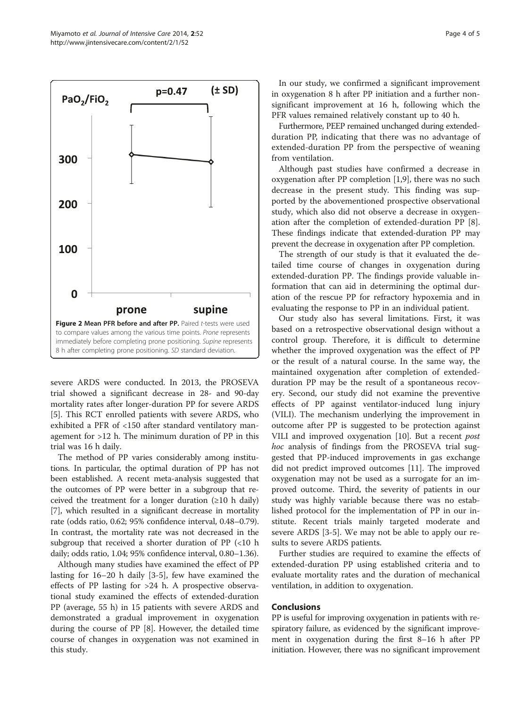<span id="page-3-0"></span>

severe ARDS were conducted. In 2013, the PROSEVA trial showed a significant decrease in 28- and 90-day mortality rates after longer-duration PP for severe ARDS [[5\]](#page-4-0). This RCT enrolled patients with severe ARDS, who exhibited a PFR of <150 after standard ventilatory management for >12 h. The minimum duration of PP in this trial was 16 h daily.

The method of PP varies considerably among institutions. In particular, the optimal duration of PP has not been established. A recent meta-analysis suggested that the outcomes of PP were better in a subgroup that received the treatment for a longer duration  $(≥10$  h daily) [[7\]](#page-4-0), which resulted in a significant decrease in mortality rate (odds ratio, 0.62; 95% confidence interval, 0.48–0.79). In contrast, the mortality rate was not decreased in the subgroup that received a shorter duration of PP (<10 h daily; odds ratio, 1.04; 95% confidence interval, 0.80–1.36).

Although many studies have examined the effect of PP lasting for 16–20 h daily [[3-5](#page-4-0)], few have examined the effects of PP lasting for >24 h. A prospective observational study examined the effects of extended-duration PP (average, 55 h) in 15 patients with severe ARDS and demonstrated a gradual improvement in oxygenation during the course of PP [\[8](#page-4-0)]. However, the detailed time course of changes in oxygenation was not examined in this study.

In our study, we confirmed a significant improvement in oxygenation 8 h after PP initiation and a further nonsignificant improvement at 16 h, following which the PFR values remained relatively constant up to 40 h.

Furthermore, PEEP remained unchanged during extendedduration PP, indicating that there was no advantage of extended-duration PP from the perspective of weaning from ventilation.

Although past studies have confirmed a decrease in oxygenation after PP completion [\[1,9](#page-4-0)], there was no such decrease in the present study. This finding was supported by the abovementioned prospective observational study, which also did not observe a decrease in oxygenation after the completion of extended-duration PP [\[8](#page-4-0)]. These findings indicate that extended-duration PP may prevent the decrease in oxygenation after PP completion.

The strength of our study is that it evaluated the detailed time course of changes in oxygenation during extended-duration PP. The findings provide valuable information that can aid in determining the optimal duration of the rescue PP for refractory hypoxemia and in evaluating the response to PP in an individual patient.

Our study also has several limitations. First, it was based on a retrospective observational design without a control group. Therefore, it is difficult to determine whether the improved oxygenation was the effect of PP or the result of a natural course. In the same way, the maintained oxygenation after completion of extendedduration PP may be the result of a spontaneous recovery. Second, our study did not examine the preventive effects of PP against ventilator-induced lung injury (VILI). The mechanism underlying the improvement in outcome after PP is suggested to be protection against VILI and improved oxygenation [\[10](#page-4-0)]. But a recent post hoc analysis of findings from the PROSEVA trial suggested that PP-induced improvements in gas exchange did not predict improved outcomes [[11\]](#page-4-0). The improved oxygenation may not be used as a surrogate for an improved outcome. Third, the severity of patients in our study was highly variable because there was no established protocol for the implementation of PP in our institute. Recent trials mainly targeted moderate and severe ARDS [[3-5](#page-4-0)]. We may not be able to apply our results to severe ARDS patients.

Further studies are required to examine the effects of extended-duration PP using established criteria and to evaluate mortality rates and the duration of mechanical ventilation, in addition to oxygenation.

## Conclusions

PP is useful for improving oxygenation in patients with respiratory failure, as evidenced by the significant improvement in oxygenation during the first 8–16 h after PP initiation. However, there was no significant improvement